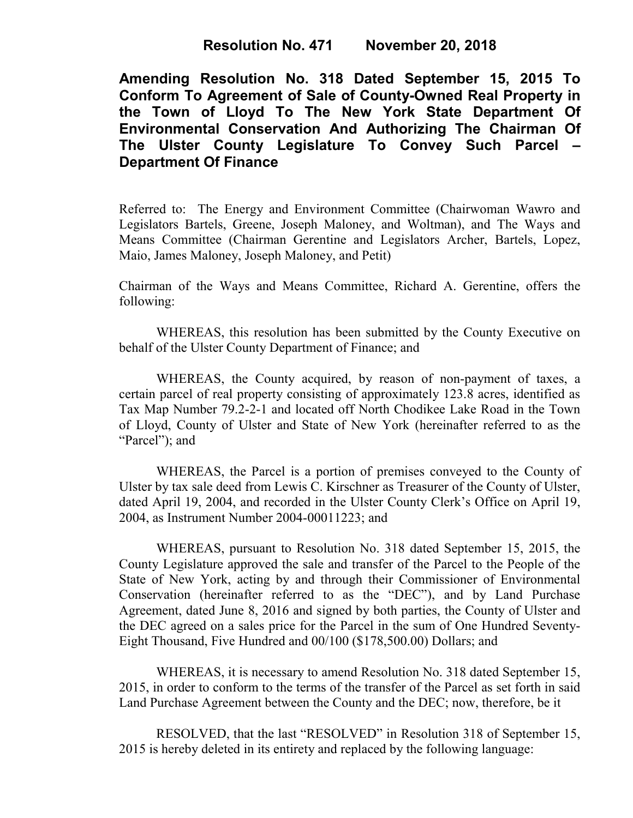**Resolution No. 471 November 20, 2018**

**Amending Resolution No. 318 Dated September 15, 2015 To Conform To Agreement of Sale of County-Owned Real Property in the Town of Lloyd To The New York State Department Of Environmental Conservation And Authorizing The Chairman Of The Ulster County Legislature To Convey Such Parcel – Department Of Finance**

Referred to: The Energy and Environment Committee (Chairwoman Wawro and Legislators Bartels, Greene, Joseph Maloney, and Woltman), and The Ways and Means Committee (Chairman Gerentine and Legislators Archer, Bartels, Lopez, Maio, James Maloney, Joseph Maloney, and Petit)

Chairman of the Ways and Means Committee, Richard A. Gerentine, offers the following:

WHEREAS, this resolution has been submitted by the County Executive on behalf of the Ulster County Department of Finance; and

WHEREAS, the County acquired, by reason of non-payment of taxes, a certain parcel of real property consisting of approximately 123.8 acres, identified as Tax Map Number 79.2-2-1 and located off North Chodikee Lake Road in the Town of Lloyd, County of Ulster and State of New York (hereinafter referred to as the "Parcel"); and

WHEREAS, the Parcel is a portion of premises conveyed to the County of Ulster by tax sale deed from Lewis C. Kirschner as Treasurer of the County of Ulster, dated April 19, 2004, and recorded in the Ulster County Clerk's Office on April 19, 2004, as Instrument Number 2004-00011223; and

WHEREAS, pursuant to Resolution No. 318 dated September 15, 2015, the County Legislature approved the sale and transfer of the Parcel to the People of the State of New York, acting by and through their Commissioner of Environmental Conservation (hereinafter referred to as the "DEC"), and by Land Purchase Agreement, dated June 8, 2016 and signed by both parties, the County of Ulster and the DEC agreed on a sales price for the Parcel in the sum of One Hundred Seventy-Eight Thousand, Five Hundred and 00/100 (\$178,500.00) Dollars; and

WHEREAS, it is necessary to amend Resolution No. 318 dated September 15, 2015, in order to conform to the terms of the transfer of the Parcel as set forth in said Land Purchase Agreement between the County and the DEC; now, therefore, be it

RESOLVED, that the last "RESOLVED" in Resolution 318 of September 15, 2015 is hereby deleted in its entirety and replaced by the following language: